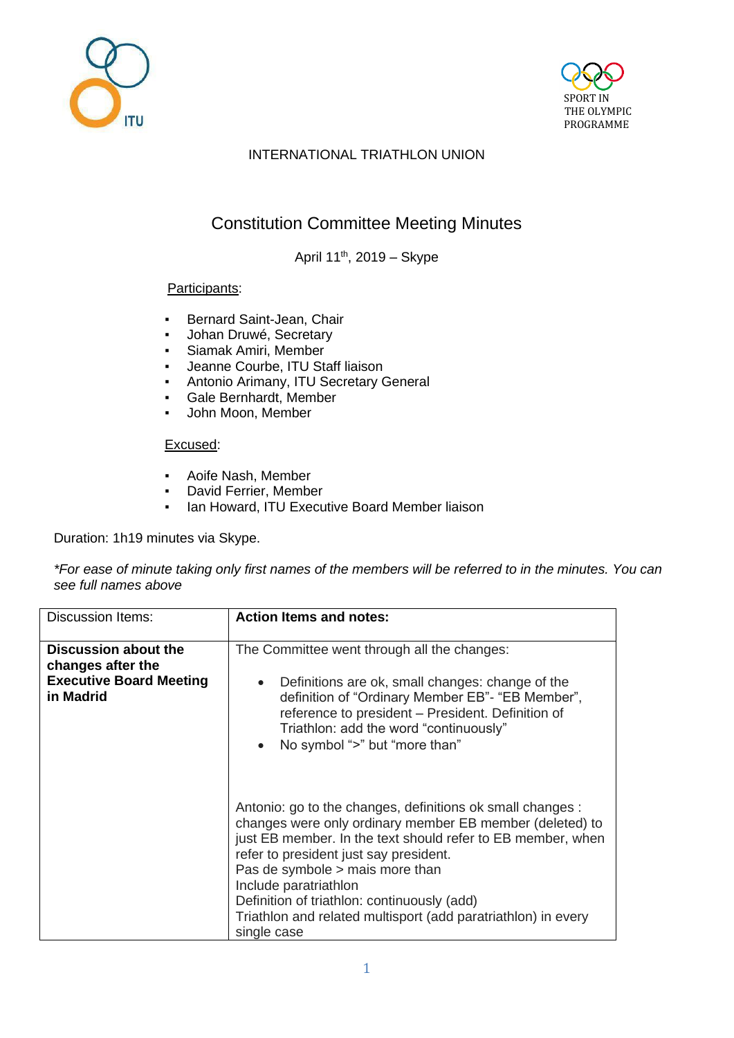



## INTERNATIONAL TRIATHLON UNION

# Constitution Committee Meeting Minutes

April 11th, 2019 – Skype

#### Participants:

- Bernard Saint-Jean, Chair
- Johan Druwé, Secretary
- **Siamak Amiri, Member**
- Jeanne Courbe, ITU Staff liaison
- Antonio Arimany, ITU Secretary General
- Gale Bernhardt, Member
- John Moon, Member

#### Excused:

- Aoife Nash, Member
- David Ferrier, Member
- **Ian Howard, ITU Executive Board Member liaison**

Duration: 1h19 minutes via Skype.

*\*For ease of minute taking only first names of the members will be referred to in the minutes. You can see full names above*

| <b>Discussion Items:</b>                                                                 | <b>Action Items and notes:</b>                                                                                                                                                                                                                                                                                                                                                                                             |
|------------------------------------------------------------------------------------------|----------------------------------------------------------------------------------------------------------------------------------------------------------------------------------------------------------------------------------------------------------------------------------------------------------------------------------------------------------------------------------------------------------------------------|
| Discussion about the<br>changes after the<br><b>Executive Board Meeting</b><br>in Madrid | The Committee went through all the changes:<br>Definitions are ok, small changes: change of the<br>definition of "Ordinary Member EB"- "EB Member",<br>reference to president - President. Definition of<br>Triathlon: add the word "continuously"<br>No symbol ">" but "more than"<br>$\bullet$                                                                                                                           |
|                                                                                          | Antonio: go to the changes, definitions ok small changes :<br>changes were only ordinary member EB member (deleted) to<br>just EB member. In the text should refer to EB member, when<br>refer to president just say president.<br>Pas de symbole > mais more than<br>Include paratriathlon<br>Definition of triathlon: continuously (add)<br>Triathlon and related multisport (add paratriathlon) in every<br>single case |